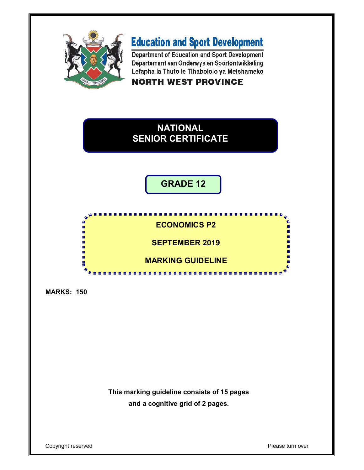

# **Education and Sport Development**

Department of Education and Sport Development Departement van Onderwys en Sportontwikkeling Lefapha la Thuto le Tlhabololo ya Metshameko

**NORTH WEST PROVINCE** 

## **NATIONAL SENIOR CERTIFICATE**

**GRADE 12**



**MARKS: 150**

**This marking guideline consists of 15 pages and a cognitive grid of 2 pages.**

Copyright reserved Please turn over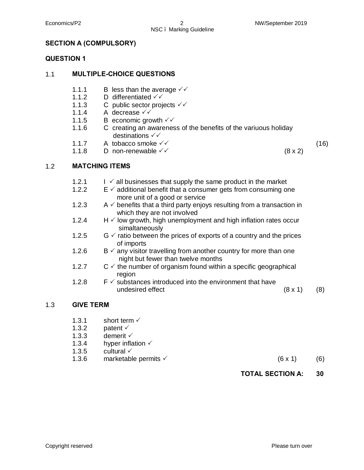## NSC – Marking Guideline

#### **SECTION A (COMPULSORY)**

#### **QUESTION 1**

#### 1.1 **MULTIPLE-CHOICE QUESTIONS**

- 1.1.1 B less than the average  $\sqrt{V}$
- 1.1.2 D differentiated  $\checkmark\checkmark$
- 1.1.3 C public sector projects  $\checkmark\checkmark$
- 1.1.4 A decrease  $\checkmark\checkmark$
- 1.1.5 B economic growth  $\checkmark$
- 1.1.6 C creating an awareness of the benefits of the variuous holiday destinations  $\checkmark\checkmark$
- 1.1.7 A tobacco smoke  $\checkmark\checkmark$
- 1.1.8 D non-renewable  $\checkmark$  (8 x 2)

(16)

#### 1.2 **MATCHING ITEMS**

- 1.2.1  $I \n\checkmark$  all businesses that supply the same product in the market
- 1.2.2  $E \nleq$  additional benefit that a consumer gets from consuming one more unit of a good or service
- 1.2.3  $A \vee$  benefits that a third party enjoys resulting from a transaction in which they are not involved
- 1.2.4  $H \vee$  low growth, high unemployment and high inflation rates occur simaltaneously
- 1.2.5  $G \nightharpoonup$  ratio between the prices of exports of a country and the prices of imports
- 1.2.6  $B \nightharpoonup$  any visitor travelling from another country for more than one night but fewer than twelve months
- 1.2.7  $C \vee$  the number of organism found within a specific geographical region
- 1.2.8  $F \nightharpoonup$  substances introduced into the environment that have undesired effect (8 x 1) (8)

#### 1.3 **GIVE TERM**

- 1.3.1 short term  $\checkmark$
- 1.3.2 patent  $\checkmark$
- 1.3.3 demerit  $\checkmark$
- 1.3.4 hyper inflation  $\checkmark$
- 1.3.5 cultural  $\checkmark$
- 1.3.6 marketable permits  $(6 \times 1)$  (6)

#### **TOTAL SECTION A: 30**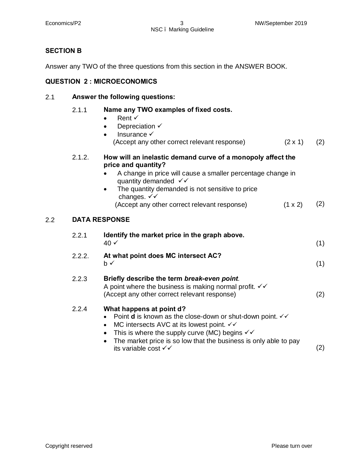#### **SECTION B**

Answer any TWO of the three questions from this section in the ANSWER BOOK.

### **QUESTION 2 : MICROECONOMICS**

#### 2.1 **Answer the following questions:**

|     | 2.1.1  | Name any TWO examples of fixed costs.<br>Rent $\checkmark$<br>Depreciation $\checkmark$<br>Insurance √<br>$\bullet$<br>(Accept any other correct relevant response)<br>$(2 \times 1)$                                                                                                                                                                    | (2) |
|-----|--------|----------------------------------------------------------------------------------------------------------------------------------------------------------------------------------------------------------------------------------------------------------------------------------------------------------------------------------------------------------|-----|
|     | 2.1.2. | How will an inelastic demand curve of a monopoly affect the<br>price and quantity?<br>A change in price will cause a smaller percentage change in<br>quantity demanded $\checkmark$<br>The quantity demanded is not sensitive to price<br>changes. $\checkmark\checkmark$<br>(Accept any other correct relevant response)<br>(1 x 2)                     | (2) |
| 2.2 |        | <b>DATA RESPONSE</b>                                                                                                                                                                                                                                                                                                                                     |     |
|     | 2.2.1  | Identify the market price in the graph above.<br>$40 \checkmark$                                                                                                                                                                                                                                                                                         | (1) |
|     | 2.2.2. | At what point does MC intersect AC?<br>b✓                                                                                                                                                                                                                                                                                                                | (1) |
|     | 2.2.3  | Briefly describe the term break-even point.<br>A point where the business is making normal profit. $\checkmark\checkmark$<br>(Accept any other correct relevant response)                                                                                                                                                                                | (2) |
|     | 2.2.4  | What happens at point d?<br>Point <b>d</b> is known as the close-down or shut-down point. $\checkmark\checkmark$<br>$\bullet$<br>MC intersects AVC at its lowest point. √√<br>$\bullet$<br>This is where the supply curve (MC) begins $\checkmark\checkmark$<br>The market price is so low that the business is only able to pay<br>its variable cost √√ | (2) |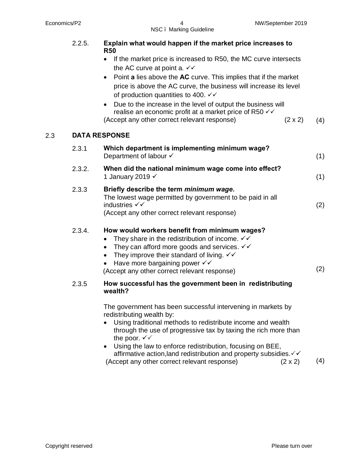2.3 **DATA RESPONSE**

|     | 2.2.5. | Explain what would happen if the market price increases to<br><b>R50</b>                                                                                                                                                                                                                                                                                                                             |     |
|-----|--------|------------------------------------------------------------------------------------------------------------------------------------------------------------------------------------------------------------------------------------------------------------------------------------------------------------------------------------------------------------------------------------------------------|-----|
|     |        | If the market price is increased to R50, the MC curve intersects<br>the AC curve at point a. $\checkmark\checkmark$<br>Point a lies above the AC curve. This implies that if the market<br>$\bullet$<br>price is above the AC curve, the business will increase its level<br>of production quantities to 400. $\checkmark\checkmark$<br>Due to the increase in the level of output the business will |     |
|     |        | realise an economic profit at a market price of R50 $\checkmark\checkmark$<br>(Accept any other correct relevant response)<br>$(2 \times 2)$                                                                                                                                                                                                                                                         | (4) |
| 2.3 |        | <b>DATA RESPONSE</b>                                                                                                                                                                                                                                                                                                                                                                                 |     |
|     | 2.3.1  | Which department is implementing minimum wage?<br>Department of labour $\checkmark$                                                                                                                                                                                                                                                                                                                  | (1) |
|     | 2.3.2. | When did the national minimum wage come into effect?<br>1 January 2019 V                                                                                                                                                                                                                                                                                                                             | (1) |
|     | 2.3.3  | Briefly describe the term minimum wage.<br>The lowest wage permitted by government to be paid in all<br>industries $\checkmark\checkmark$<br>(Accept any other correct relevant response)                                                                                                                                                                                                            | (2) |
|     | 2.3.4. | How would workers benefit from minimum wages?<br>They share in the redistribution of income. $\checkmark\checkmark$<br>They can afford more goods and services. $\checkmark\checkmark$<br>They improve their standard of living. $\checkmark\checkmark$<br>Have more bargaining power $\checkmark\checkmark$<br>(Accept any other correct relevant response)                                         | (2) |
|     | 2.3.5  | How successful has the government been in redistributing<br>wealth?                                                                                                                                                                                                                                                                                                                                  |     |
|     |        | The government has been successful intervening in markets by<br>redistributing wealth by:<br>Using traditional methods to redistribute income and wealth<br>through the use of progressive tax by taxing the rich more than<br>the poor. $\checkmark\checkmark$<br>• Using the law to enforce redistribution, focusing on BEE.                                                                       |     |

· Using the law to enforce redistribution, focusing on BEE, affirmative action, land redistribution and property subsidies. $\checkmark\checkmark$ (Accept any other correct relevant response) (2 x 2) (4)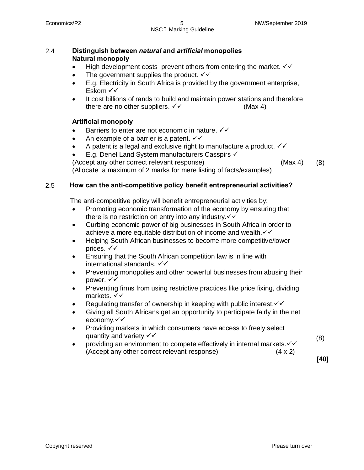#### Economics/P2 5 NW/September 2019 NSC – Marking Guideline

#### 2.4 **Distinguish between** *natural* **and** *artificial* **monopolies Natural monopoly**

- High development costs prevent others from entering the market.  $\checkmark\checkmark$
- The government supplies the product.  $\checkmark\checkmark$
- · E.g. Electricity in South Africa is provided by the government enterprise, Eskom  $\checkmark\checkmark$
- It cost billions of rands to build and maintain power stations and therefore there are no other suppliers.  $\checkmark\checkmark$  (Max 4)

#### **Artificial monopoly**

- Barriers to enter are not economic in nature.  $\checkmark\checkmark$
- An example of a barrier is a patent.  $\checkmark\checkmark$
- A patent is a legal and exclusive right to manufacture a product.  $\checkmark\checkmark$
- E.g. Denel Land System manufacturers Casspirs  $\checkmark$

(Accept any other correct relevant response) (Max 4)

(8)

(Allocate a maximum of 2 marks for mere listing of facts/examples)

#### 2.5 **BriHow can the anti-competitive policy benefit entrepreneurial activities?**

The anti-competitive policy will benefit entrepreneurial activities by:

- Promoting economic transformation of the economy by ensuring that there is no restriction on entry into any industry. $\checkmark\checkmark$
- · Curbing economic power of big businesses in South Africa in order to achieve a more equitable distribution of income and wealth. $\checkmark$
- · Helping South African businesses to become more competitive/lower prices.  $\checkmark\checkmark$
- · Ensuring that the South African competition law is in line with international standards.  $\checkmark\checkmark$
- Preventing monopolies and other powerful businesses from abusing their power.  $\checkmark\checkmark$
- · Preventing firms from using restrictive practices like price fixing, dividing markets.  $\checkmark\checkmark$
- Regulating transfer of ownership in keeping with public interest. $\checkmark\checkmark$
- · Giving all South Africans get an opportunity to participate fairly in the net economy.√√
- · Providing markets in which consumers have access to freely select quantity and variety. $\checkmark\checkmark$
- providing an environment to compete effectively in internal markets. $\checkmark\checkmark$ (Accept any other correct relevant response) (4 x 2)

(8)

**[40]**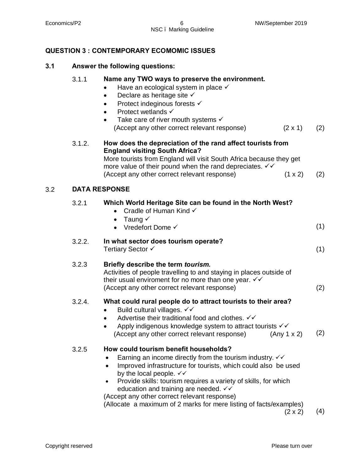3.2 **DATA RESPONSE**

#### **QUESTION 3 : CONTEMPORARY ECOMOMIC ISSUES**

### **3.1 Answer the following questions:**

|     | 3.1.1  | Name any TWO ways to preserve the environment.<br>Have an ecological system in place $\checkmark$<br>Declare as heritage site $\checkmark$<br>$\bullet$<br>Protect indeginous forests √<br>Protect wetlands √<br>Take care of river mouth systems $\checkmark$<br>$\bullet$<br>(Accept any other correct relevant response)<br>$(2 \times 1)$                                                                   | (2) |
|-----|--------|-----------------------------------------------------------------------------------------------------------------------------------------------------------------------------------------------------------------------------------------------------------------------------------------------------------------------------------------------------------------------------------------------------------------|-----|
|     | 3.1.2. | How does the depreciation of the rand affect tourists from<br><b>England visiting South Africa?</b><br>More tourists from England will visit South Africa because they get<br>more value of their pound when the rand depreciates. $\checkmark\checkmark$<br>(Accept any other correct relevant response)<br>$(1 \times 2)$                                                                                     | (2) |
| 3.2 |        | <b>DATA RESPONSE</b>                                                                                                                                                                                                                                                                                                                                                                                            |     |
|     | 3.2.1  | Which World Heritage Site can be found in the North West?<br>Cradle of Human Kind √<br>$\bullet$<br>• Taung $\checkmark$                                                                                                                                                                                                                                                                                        |     |
|     |        | Vredefort Dome √                                                                                                                                                                                                                                                                                                                                                                                                | (1) |
|     | 3.2.2. | In what sector does tourism operate?<br>Tertiary Sector √                                                                                                                                                                                                                                                                                                                                                       | (1) |
|     | 3.2.3  | Briefly describe the term tourism.<br>Activities of people travelling to and staying in places outside of<br>their usual enviroment for no more than one year. VV<br>(Accept any other correct relevant response)                                                                                                                                                                                               | (2) |
|     | 3.2.4. | What could rural people do to attract tourists to their area?<br>Build cultural villages. √√<br>$\bullet$<br>Advertise their traditional food and clothes. √√<br>Apply indigenous knowledge system to attract tourists √√<br>(Accept any other correct relevant response)<br>(Any 1 x 2)                                                                                                                        | (2) |
|     | 3.2.5  | How could tourism benefit households?<br>Earning an income directly from the tourism industry. $\checkmark\checkmark$<br>Improved infrastructure for tourists, which could also be used<br>$\bullet$<br>by the local people. $\checkmark\checkmark$<br>Provide skills: tourism requires a variety of skills, for which<br>education and training are needed. √√<br>(Accept any other correct relevant response) |     |

(Allocate a maximum of 2 marks for mere listing of facts/examples)<br>(2 x 2) (4)

 $(2 \times 2)$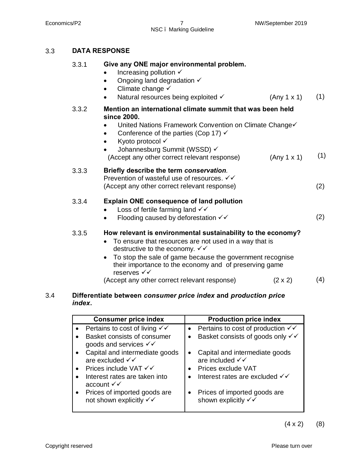NSC – Marking Guideline

#### 3.3 **DATA RESPONSE**

| (1)<br>(Any 1 x 1)                                                  |
|---------------------------------------------------------------------|
| (1)<br>(Any 1 x 1)                                                  |
| (2)                                                                 |
| (2)                                                                 |
| How relevant is environmental sustainability to the economy?<br>(4) |
| United Nations Framework Convention on Climate Change√              |

#### 3.4 **Differentiate between** *consumer price index* **and** *production price index***.**

| <b>Consumer price index</b>                                              | <b>Production price index</b>                         |
|--------------------------------------------------------------------------|-------------------------------------------------------|
| Pertains to cost of living $\checkmark\checkmark$                        | Pertains to cost of production $\checkmark\checkmark$ |
| Basket consists of consumer<br>goods and services $\checkmark\checkmark$ | Basket consists of goods only $\checkmark\checkmark$  |
| Capital and intermediate goods<br>are excluded $\checkmark$              | Capital and intermediate goods<br>are included √√     |
| Prices include VAT √√                                                    | Prices exclude VAT                                    |
| Interest rates are taken into<br>account $\checkmark\checkmark$          | Interest rates are excluded √√                        |
| Prices of imported goods are<br>not shown explicitly √√                  | Prices of imported goods are<br>shown explicitly √√   |

 $(4 \times 2)$  (8)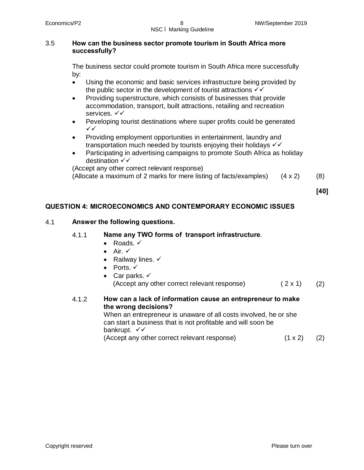#### 3.5 **How can the business sector promote tourism in South Africa more successfully?**

The business sector could promote tourism in South Africa more successfully by:

- · Using the economic and basic services infrastructure being provided by the public sector in the development of tourist attractions  $\checkmark\checkmark$
- Providing superstructure, which consists of businesses that provide accommodation, transport, built attractions, retailing and recreation services.  $\checkmark\checkmark$
- · Peveloping tourist destinations where super profits could be generated ¸¸
- · Providing employment opportunities in entertainment, laundry and transportation much needed by tourists enjoying their holidays  $\checkmark$
- · Participating in advertising campaigns to promote South Africa as holiday destination  $\checkmark\checkmark$

(Accept any other correct relevant response)

(Allocate a maximum of 2 marks for mere listing of facts/examples) (4 x 2) (8)

**[40]**

#### **QUESTION 4: MICROECONOMICS AND CONTEMPORARY ECONOMIC ISSUES**

#### 4.1 **Answer the following questions.**

#### 4.1.1 **Name any TWO forms of transport infrastructure**.

- Roads.  $\checkmark$
- Air.  $\checkmark$
- Railway lines.  $\checkmark$
- Ports.  $\checkmark$
- Car parks.  $\checkmark$ (Accept any other correct relevant response)  $(2 \times 1)$  (2)

#### 4.1.2 **How can a lack of information cause an entrepreneur to make the wrong decisions?**

When an entrepreneur is unaware of all costs involved, he or she can start a business that is not profitable and will soon be bankrupt.  $\checkmark\checkmark$ (Accept any other correct relevant response) (1 x 2) (2)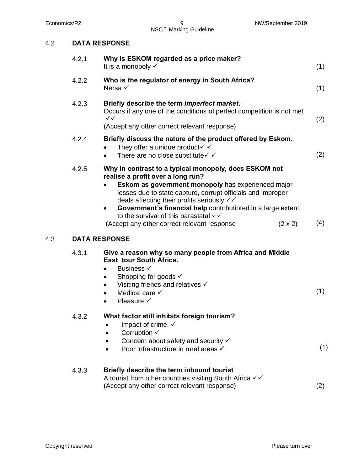4.3 **DATA RESPONSE**

NSC – Marking Guideline

| 4.2 | <b>DATA RESPONSE</b> |
|-----|----------------------|
|     |                      |

|     | 4.2.1 | Why is ESKOM regarded as a price maker?<br>It is a monopoly √                                                                                                                                                                                                                                                                                                                                                                                                                      | (1) |
|-----|-------|------------------------------------------------------------------------------------------------------------------------------------------------------------------------------------------------------------------------------------------------------------------------------------------------------------------------------------------------------------------------------------------------------------------------------------------------------------------------------------|-----|
|     | 4.2.2 | Who is the regulator of energy in South Africa?<br>Nersa $\checkmark$                                                                                                                                                                                                                                                                                                                                                                                                              | (1) |
|     | 4.2.3 | Briefly describe the term imperfect market.<br>Occurs if any one of the conditions of perfect competition is not met<br>$\checkmark$<br>(Accept any other correct relevant response)                                                                                                                                                                                                                                                                                               | (2) |
|     | 4.2.4 | Briefly discuss the nature of the product offered by Eskom.<br>They offer a unique product $\checkmark$<br>There are no close substitute $\checkmark$<br>$\bullet$                                                                                                                                                                                                                                                                                                                 | (2) |
|     | 4.2.5 | Why in contrast to a typical monopoly, does ESKOM not<br>realise a profit over a long run?<br>Eskom as government monopoly has experienced major<br>losses due to state capture, corrupt officials and improper<br>deals affecting their profits seriously $\checkmark\checkmark$<br>Government's financial help contributioted in a large extent<br>$\bullet$<br>to the survival of this parastatal $\checkmark$<br>(Accept any other correct relevant response<br>$(2 \times 2)$ | (4) |
| 4.3 |       | <b>DATA RESPONSE</b>                                                                                                                                                                                                                                                                                                                                                                                                                                                               |     |
|     | 4.3.1 | Give a reason why so many people from Africa and Middle<br>East tour South Africa.<br>Business √<br>$\bullet$<br>Shopping for goods $\checkmark$<br>$\bullet$<br>Visiting friends and relatives √<br>Medical care $\checkmark$<br>Pleasure √<br>$\bullet$                                                                                                                                                                                                                          | (1) |
|     | 4.3.2 | What factor still inhibits foreign tourism?<br>Impact of crime. $\checkmark$<br>Corruption $\checkmark$<br>Concern about safety and security $\checkmark$<br>Poor infrastructure in rural areas √                                                                                                                                                                                                                                                                                  | (1) |
|     | 4.3.3 | Briefly describe the term inbound tourist<br>A tourist from other countries visiting South Africa √√<br>(Accept any other correct relevant response)                                                                                                                                                                                                                                                                                                                               | (2) |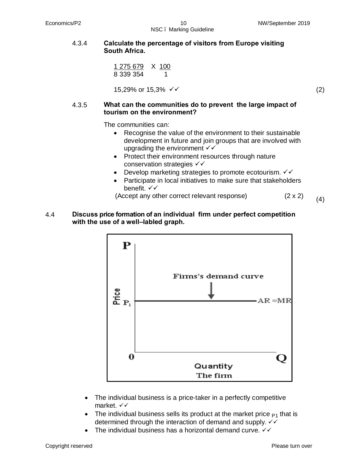#### 4.3.4 **Calculate the percentage of visitors from Europe visiting South Africa.**

1 275 679 X 100 8 339 354 1

 $15,29\%$  or  $15,3\% \checkmark$   $\checkmark$  (2)

#### 4.3.5 **What can the communities do to prevent the large impact of tourism on the environment?**

The communities can:

- Recognise the value of the environment to their sustainable development in future and join groups that are involved with upgrading the environment  $\checkmark\checkmark$
- · Protect their environment resources through nature conservation strategies  $\checkmark\checkmark$
- Develop marketing strategies to promote ecotourism.  $\checkmark\checkmark$
- · Participate in local initiatives to make sure that stakeholders benefit.  $\checkmark\checkmark$
- (Accept any other correct relevant response)  $(2 \times 2)$  (4)
- 4.4 **Discuss price formation of an individual firm under perfect competition with the use of a well–labled graph.**



- · The individual business is a price-taker in a perfectly competitive market.  $\checkmark\checkmark$
- The individual business sells its product at the market price  $P_1$  that is determined through the interaction of demand and supply.  $\checkmark\checkmark$
- The individual business has a horizontal demand curve.  $\checkmark\checkmark$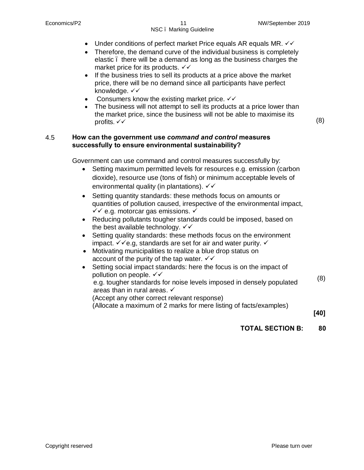- Under conditions of perfect market Price equals AR equals MR.  $\checkmark\checkmark$
- Therefore, the demand curve of the individual business is completely elastic – there will be a demand as long as the business charges the market price for its products.  $\checkmark\checkmark$
- · If the business tries to sell its products at a price above the market price, there will be no demand since all participants have perfect knowledge.  $\checkmark\checkmark$
- Consumers know the existing market price.  $\checkmark\checkmark$
- The business will not attempt to sell its products at a price lower than the market price, since the business will not be able to maximise its profits.  $\checkmark\checkmark$  (8)

#### 4.5 **How can the government use** *command and control* **measures successfully to ensure environmental sustainability?**

Government can use command and control measures successfully by:

- Setting maximum permitted levels for resources e.g. emission (carbon dioxide), resource use (tons of fish) or minimum acceptable levels of environmental quality (in plantations).  $\checkmark\checkmark$
- · Setting quantity standards: these methods focus on amounts or quantities of pollution caused, irrespective of the environmental impact,  $\checkmark$  e.g. motorcar gas emissions.  $\checkmark$
- · Reducing pollutants tougher standards could be imposed, based on the best available technology.  $\checkmark\checkmark$
- Setting quality standards: these methods focus on the environment impact.  $\checkmark$  e.g. standards are set for air and water purity.  $\checkmark$
- · Motivating municipalities to realize a blue drop status on account of the purity of the tap water.  $\checkmark\checkmark$
- Setting social impact standards: here the focus is on the impact of pollution on people.  $\checkmark\checkmark$ 
	- e.g. tougher standards for noise levels imposed in densely populated areas than in rural areas.  $\checkmark$ (8)
	- (Accept any other correct relevant response)

(Allocate a maximum of 2 marks for mere listing of facts/examples)

**[40]**

#### **TOTAL SECTION B: 80**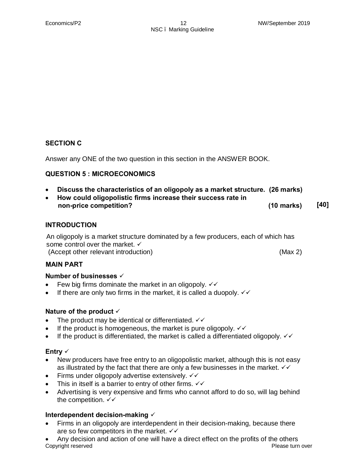#### **SECTION C**

Answer any ONE of the two question in this section in the ANSWER BOOK.

#### **QUESTION 5 : MICROECONOMICS**

- · **Discuss the characteristics of an oligopoly as a market structure. (26 marks)**
- · **How could oligopolistic firms increase their success rate in non-price competition? (10 marks) [40]**

#### **INTRODUCTION**

An oligopoly is a market structure dominated by a few producers, each of which has some control over the market.  $\checkmark$ (Accept other relevant introduction) (Max 2)

#### **MAIN PART**

#### Number of businesses  $\checkmark$

- Few big firms dominate the market in an oligopoly.  $\checkmark\checkmark$
- If there are only two firms in the market, it is called a duopoly.  $\checkmark\checkmark$

#### Nature of the product  $\checkmark$

- The product may be identical or differentiated.  $\checkmark\checkmark$
- If the product is homogeneous, the market is pure oligopoly.  $\checkmark\checkmark$
- If the product is differentiated, the market is called a differentiated oligopoly.  $\checkmark\checkmark$

#### Entry  $\checkmark$

- · New producers have free entry to an oligopolistic market, although this is not easy as illustrated by the fact that there are only a few businesses in the market.  $\checkmark\checkmark$
- Firms under oligopoly advertise extensively.  $\checkmark\checkmark$
- This in itself is a barrier to entry of other firms.  $\checkmark\checkmark$
- · Advertising is very expensive and firms who cannot afford to do so, will lag behind the competition.  $\checkmark\checkmark$

#### Interdependent decision-making  $\checkmark$

· Firms in an oligopoly are interdependent in their decision-making, because there are so few competitors in the market.  $\checkmark\checkmark$ 

Copyright reserved **Please turn over**  $\blacksquare$ Any decision and action of one will have a direct effect on the profits of the others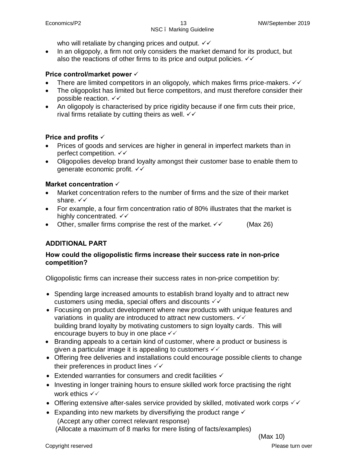who will retaliate by changing prices and output.  $\checkmark\checkmark$ 

· In an oligopoly, a firm not only considers the market demand for its product, but also the reactions of other firms to its price and output policies.  $\checkmark\checkmark$ 

#### **Price control/market power**  $\checkmark$

- There are limited competitors in an oligopoly, which makes firms price-makers.  $\checkmark\checkmark$
- · The oligopolist has limited but fierce competitors, and must therefore consider their possible reaction.  $\checkmark\checkmark$
- · An oligopoly is characterised by price rigidity because if one firm cuts their price, rival firms retaliate by cutting theirs as well.  $\checkmark\checkmark$

#### **Price and profits**  $\checkmark$

- · Prices of goods and services are higher in general in imperfect markets than in perfect competition.  $\checkmark\checkmark$
- · Oligopolies develop brand loyalty amongst their customer base to enable them to generate economic profit.  $\checkmark\checkmark$

#### Market concentration  $\checkmark$

- · Market concentration refers to the number of firms and the size of their market share.  $\checkmark\checkmark$
- · For example, a four firm concentration ratio of 80% illustrates that the market is highly concentrated.  $\checkmark\checkmark$
- Other, smaller firms comprise the rest of the market.  $\checkmark$  (Max 26)

#### **ADDITIONAL PART**

#### **How could the oligopolistic firms increase their success rate in non-price competition?**

Oligopolistic firms can increase their success rates in non-price competition by:

- · Spending large increased amounts to establish brand loyalty and to attract new customers using media, special offers and discounts  $\checkmark\checkmark$
- · Focusing on product development where new products with unique features and variations in quality are introduced to attract new customers.  $\checkmark\checkmark$ building brand loyalty by motivating customers to sign loyalty cards. This will encourage buyers to buy in one place  $\checkmark\checkmark$
- · Branding appeals to a certain kind of customer, where a product or business is given a particular image it is appealing to customers  $\checkmark\checkmark$
- · Offering free deliveries and installations could encourage possible clients to change their preferences in product lines  $\checkmark\checkmark$
- Extended warranties for consumers and credit facilities  $\checkmark$
- · Investing in longer training hours to ensure skilled work force practising the right work ethics  $\checkmark$
- Offering extensive after-sales service provided by skilled, motivated work corps  $\checkmark\checkmark$
- Expanding into new markets by diversifiying the product range  $\checkmark$ (Accept any other correct relevant response) (Allocate a maximum of 8 marks for mere listing of facts/examples)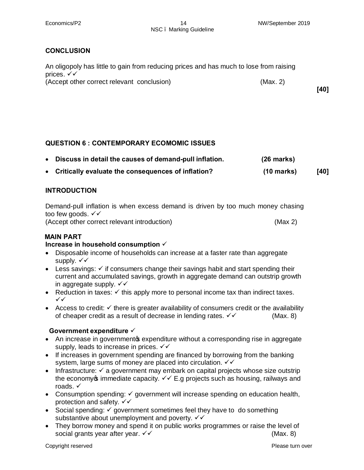#### **CONCLUSION**

| An oligopoly has little to gain from reducing prices and has much to lose from raising |          |      |
|----------------------------------------------------------------------------------------|----------|------|
| prices. $\checkmark\checkmark$                                                         |          |      |
| (Accept other correct relevant conclusion)                                             | (Max. 2) |      |
|                                                                                        |          | [40] |

#### **QUESTION 6 : CONTEMPORARY ECOMOMIC ISSUES**

| Discuss in detail the causes of demand-pull inflation. | $(26$ marks)         |        |
|--------------------------------------------------------|----------------------|--------|
| • Critically evaluate the consequences of inflation?   | $(10 \text{ marks})$ | $[40]$ |

#### **INTRODUCTION**

Demand-pull inflation is when excess demand is driven by too much money chasing too few goods.  $\checkmark\checkmark$ 

(Accept other correct relevant introduction) (Max 2)

#### **MAIN PART**

#### **Increase in household consumption √**

- · Disposable income of households can increase at a faster rate than aggregate supply.  $\checkmark\checkmark$
- Less savings:  $\checkmark$  if consumers change their savings habit and start spending their current and accumulated savings, growth in aggregate demand can outstrip growth in aggregate supply.  $\checkmark\checkmark$
- Reduction in taxes:  $\checkmark$  this apply more to personal income tax than indirect taxes. ¸¸
- Access to credit:  $\checkmark$  there is greater availability of consumers credit or the availability of cheaper credit as a result of decrease in lending rates.  $\checkmark\checkmark$  (Max. 8)

#### Government expenditure  $\checkmark$

- An increase in governmento expenditure without a corresponding rise in aggregate supply, leads to increase in prices.  $\checkmark\checkmark$
- If increases in government spending are financed by borrowing from the banking system, large sums of money are placed into circulation.  $\checkmark\checkmark$
- Infrastructure:  $\checkmark$  a government may embark on capital projects whose size outstrip the economy  $\phi$  immediate capacity.  $\checkmark\checkmark$  E.g projects such as housing, railways and roads.  $\checkmark$
- Consumption spending:  $\checkmark$  government will increase spending on education health, protection and safety.  $\checkmark\checkmark$
- Social spending:  $\checkmark$  government sometimes feel they have to do something substantive about unemployment and poverty.  $\checkmark\checkmark$
- · They borrow money and spend it on public works programmes or raise the level of social grants year after year.  $\checkmark\checkmark$  is a set of the set of the set of the set of the set of the set of the set of the set of the set of the set of the set of the set of the set of the set of the set of the set of the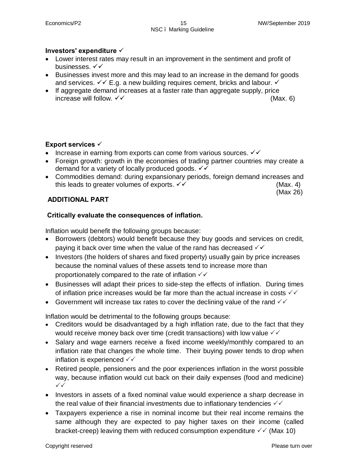#### Investors' expenditure  $\checkmark$

- · Lower interest rates may result in an improvement in the sentiment and profit of businesses.  $\checkmark\checkmark$
- · Businesses invest more and this may lead to an increase in the demand for goods and services.  $\checkmark\checkmark$  E.g. a new building requires cement, bricks and labour.  $\checkmark$
- · If aggregate demand increases at a faster rate than aggregate supply, price  $\blacksquare$ increase will follow.  $\checkmark\checkmark$

#### **Export services**  $\checkmark$

- Increase in earning from exports can come from various sources.  $\checkmark\checkmark$
- · Foreign growth: growth in the economies of trading partner countries may create a demand for a variety of locally produced goods.  $\checkmark\checkmark$
- · Commodities demand: during expansionary periods, foreign demand increases and this leads to greater volumes of exports.  $\checkmark\checkmark$  and the set of exports.  $\checkmark\checkmark$  (Max. 4)

(Max 26)

#### **ADDITIONAL PART**

#### **Critically evaluate the consequences of inflation.**

Inflation would benefit the following groups because:

- · Borrowers (debtors) would benefit because they buy goods and services on credit, paying it back over time when the value of the rand has decreased  $\checkmark\checkmark$
- · Investors (the holders of shares and fixed property) usually gain by price increases because the nominal values of these assets tend to increase more than proportionately compared to the rate of inflation  $\checkmark\checkmark$
- · Businesses will adapt their prices to side-step the effects of inflation. During times of inflation price increases would be far more than the actual increase in costs  $\checkmark\checkmark$
- Government will increase tax rates to cover the declining value of the rand  $\checkmark\checkmark$

Inflation would be detrimental to the following groups because:

- · Creditors would be disadvantaged by a high inflation rate, due to the fact that they would receive money back over time (credit transactions) with low value  $\sqrt{2}$
- · Salary and wage earners receive a fixed income weekly/monthly compared to an inflation rate that changes the whole time. Their buying power tends to drop when inflation is experienced  $\checkmark\checkmark$
- · Retired people, pensioners and the poor experiences inflation in the worst possible way, because inflation would cut back on their daily expenses (food and medicine)  $\checkmark$
- · Investors in assets of a fixed nominal value would experience a sharp decrease in the real value of their financial investments due to inflationary tendencies  $\checkmark\checkmark$
- · Taxpayers experience a rise in nominal income but their real income remains the same although they are expected to pay higher taxes on their income (called bracket-creep) leaving them with reduced consumption expenditure  $\sqrt{\sqrt{}}$  (Max 10)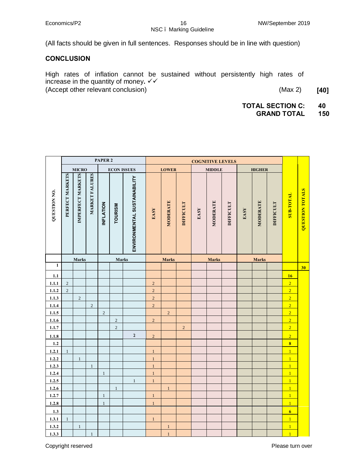## NSC – Marking Guideline

(All facts should be given in full sentences. Responses should be in line with question)

#### **CONCLUSION**

High rates of inflation cannot be sustained without persistently high rates of increase in the quantity of money.  $\checkmark\checkmark$ (Accept other relevant conclusion)(Max 2) **[40]**

**TOTAL SECTION C: 40**

**GRAND TOTAL 150**

|                     |                                    |                   |                       | PAPER <sub>2</sub> |                |                              | <b>COGNITIVE LEVELS</b> |                 |                  |      |               |                  |      |               |                  |                         |                        |
|---------------------|------------------------------------|-------------------|-----------------------|--------------------|----------------|------------------------------|-------------------------|-----------------|------------------|------|---------------|------------------|------|---------------|------------------|-------------------------|------------------------|
|                     | <b>ECON ISSUES</b><br><b>MICRO</b> |                   |                       |                    |                |                              |                         | <b>LOWER</b>    |                  |      | <b>MIDDLE</b> |                  |      | <b>HIGHER</b> |                  |                         |                        |
| <b>QUESTION NO.</b> | PERFECT MARKETS                    | IMPERFECT MARKETS | <b>MARKET FALURES</b> | <b>INFLATION</b>   | <b>TOURISM</b> | ENVIRONMENTAL SUSTAINABILITY | EASY                    | <b>MODERATE</b> | <b>DIFFICULT</b> | EASY | MODERATE      | <b>DIFFICULT</b> | EASY | MODERATE      | <b>DIFFICULT</b> | <b>TVIOL-ROS</b>        | <b>QUESTION TOTALS</b> |
|                     |                                    | Marks             |                       |                    | Marks          |                              |                         | <b>Marks</b>    |                  |      | <b>Marks</b>  |                  |      | <b>Marks</b>  |                  |                         |                        |
| $\mathbf{1}$        |                                    |                   |                       |                    |                |                              |                         |                 |                  |      |               |                  |      |               |                  |                         | 30                     |
| 1.1                 |                                    |                   |                       |                    |                |                              |                         |                 |                  |      |               |                  |      |               |                  | 16                      |                        |
| 1.1.1               | $\sqrt{2}$                         |                   |                       |                    |                |                              | $\sqrt{2}$              |                 |                  |      |               |                  |      |               |                  | $\overline{2}$          |                        |
| 1.1.2               | $\sqrt{2}$                         |                   |                       |                    |                |                              | $\overline{c}$          |                 |                  |      |               |                  |      |               |                  | $\overline{2}$          |                        |
| 1.1.3               |                                    | $\sqrt{2}$        |                       |                    |                |                              | $\overline{c}$          |                 |                  |      |               |                  |      |               |                  | $\overline{2}$          |                        |
| 1.1.4               |                                    |                   | $\sqrt{2}$            |                    |                |                              | $\overline{2}$          |                 |                  |      |               |                  |      |               |                  | $\overline{2}$          |                        |
| 1.1.5               |                                    |                   |                       | $\sqrt{2}$         |                |                              |                         | $\sqrt{2}$      |                  |      |               |                  |      |               |                  | $\overline{2}$          |                        |
| 1.1.6               |                                    |                   |                       |                    | $\sqrt{2}$     |                              | $\sqrt{2}$              |                 |                  |      |               |                  |      |               |                  | $\overline{2}$          |                        |
| 1.1.7               |                                    |                   |                       |                    | $\overline{c}$ |                              |                         |                 | $\overline{c}$   |      |               |                  |      |               |                  | $\overline{2}$          |                        |
| 1.1.8               |                                    |                   |                       |                    |                | $\mathbf 2$                  | $\sqrt{2}$              |                 |                  |      |               |                  |      |               |                  | $\overline{2}$          |                        |
| 1.2                 |                                    |                   |                       |                    |                |                              |                         |                 |                  |      |               |                  |      |               |                  | $\overline{\mathbf{8}}$ |                        |
| 1.2.1               | $\mathbf{1}$                       |                   |                       |                    |                |                              | $\mathbf{1}$            |                 |                  |      |               |                  |      |               |                  | $\overline{1}$          |                        |
| 1.2.2               |                                    | $\mathbf{1}$      |                       |                    |                |                              | $\mathbf{1}$            |                 |                  |      |               |                  |      |               |                  | $\overline{1}$          |                        |
| 1.2.3               |                                    |                   | $\mathbf{1}$          |                    |                |                              | $\,1\,$                 |                 |                  |      |               |                  |      |               |                  | $\overline{1}$          |                        |
| 1.2.4               |                                    |                   |                       | $\mathbf{1}$       |                |                              | $\,1\,$                 |                 |                  |      |               |                  |      |               |                  | $\overline{1}$          |                        |
| 1.2.5               |                                    |                   |                       |                    |                | $\mathbf{1}$                 | $\,1\,$                 |                 |                  |      |               |                  |      |               |                  | $\overline{1}$          |                        |
| 1.2.6               |                                    |                   |                       |                    | $1\,$          |                              |                         | $\mathbf{1}$    |                  |      |               |                  |      |               |                  | $\overline{1}$          |                        |
| 1.2.7               |                                    |                   |                       | $\mathbf{1}$       |                |                              | $\,1\,$                 |                 |                  |      |               |                  |      |               |                  | $\overline{1}$          |                        |
| 1.2.8               |                                    |                   |                       | $\mathbf{1}$       |                |                              | $\,1\,$                 |                 |                  |      |               |                  |      |               |                  | $\overline{1}$          |                        |
| 1.3                 |                                    |                   |                       |                    |                |                              |                         |                 |                  |      |               |                  |      |               |                  | $\overline{6}$          |                        |
| 1.3.1               | $\mathbf{1}$                       |                   |                       |                    |                |                              | $\mathbf{1}$            |                 |                  |      |               |                  |      |               |                  | $\overline{1}$          |                        |
| 1.3.2               |                                    | $\,1\,$           |                       |                    |                |                              |                         | $\mathbf{1}$    |                  |      |               |                  |      |               |                  | $\overline{1}$          |                        |
| 1.3.3               |                                    |                   | $\mathbf{1}$          |                    |                |                              |                         | $\overline{1}$  |                  |      |               |                  |      |               |                  | $\overline{1}$          |                        |

Copyright reserved **Please turn over**  $\blacksquare$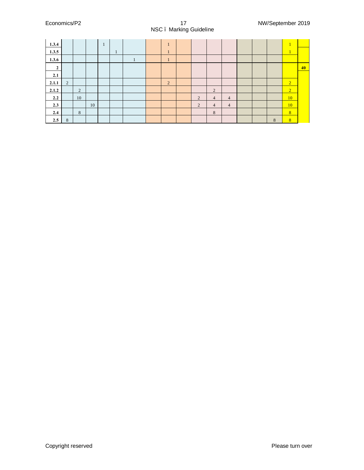#### Economics/P2 17 NW/September 2019 NSC – Marking Guideline

| 1.3.4              |   |                |    | $\mathbf{1}$ |    |  | $\mathbf{I}$ |                |                |   |  |   | $\perp$        |    |
|--------------------|---|----------------|----|--------------|----|--|--------------|----------------|----------------|---|--|---|----------------|----|
| 1.3.5              |   |                |    |              | л. |  | $\mathbf{r}$ |                |                |   |  |   | ц,             |    |
| 1.3.6              |   |                |    |              |    |  | ш            |                |                |   |  |   |                |    |
| $\mathbf{\hat{z}}$ |   |                |    |              |    |  |              |                |                |   |  |   |                | 40 |
| 2.1                |   |                |    |              |    |  |              |                |                |   |  |   |                |    |
| 2.1.1              | 2 |                |    |              |    |  | 2            |                |                |   |  |   | $\overline{2}$ |    |
| 2.1.2              |   | $\overline{2}$ |    |              |    |  |              |                | 2              |   |  |   | $\overline{2}$ |    |
| 2.2                |   | 10             |    |              |    |  |              | $\overline{2}$ | $\overline{4}$ | 4 |  |   | 10             |    |
| 2.3                |   |                | 10 |              |    |  |              | $\overline{2}$ | $\overline{4}$ | 4 |  |   | 10             |    |
| 2.4                |   | 8              |    |              |    |  |              |                | 8              |   |  |   | 8              |    |
| 2.5                | 8 |                |    |              |    |  |              |                |                |   |  | 8 | 8 <sup>°</sup> |    |